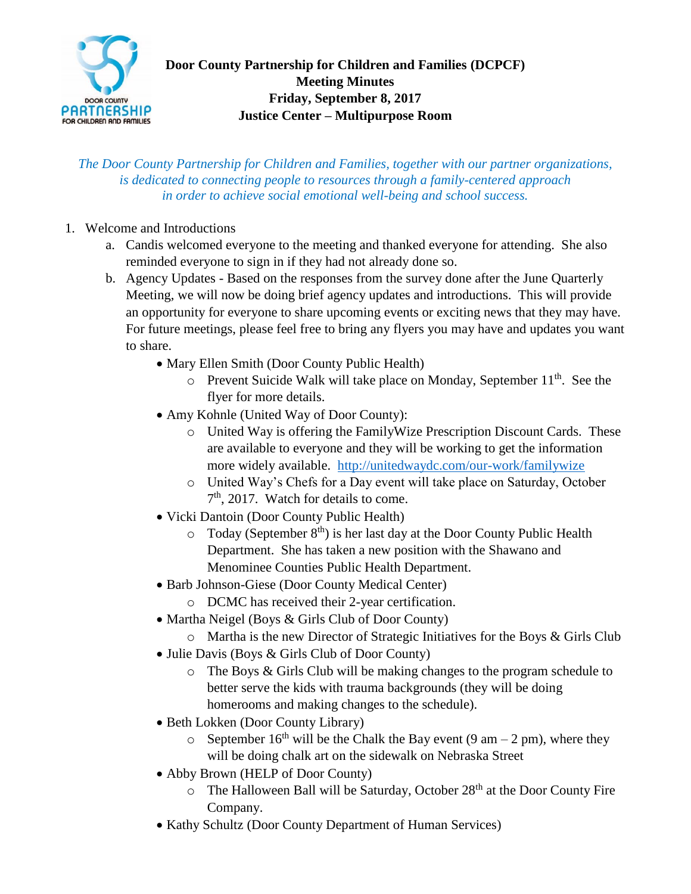

*The Door County Partnership for Children and Families, together with our partner organizations, is dedicated to connecting people to resources through a family-centered approach in order to achieve social emotional well-being and school success.*

- 1. Welcome and Introductions
	- a. Candis welcomed everyone to the meeting and thanked everyone for attending. She also reminded everyone to sign in if they had not already done so.
	- b. Agency Updates Based on the responses from the survey done after the June Quarterly Meeting, we will now be doing brief agency updates and introductions. This will provide an opportunity for everyone to share upcoming events or exciting news that they may have. For future meetings, please feel free to bring any flyers you may have and updates you want to share.
		- Mary Ellen Smith (Door County Public Health)
			- $\circ$  Prevent Suicide Walk will take place on Monday, September 11<sup>th</sup>. See the flyer for more details.
		- Amy Kohnle (United Way of Door County):
			- o United Way is offering the FamilyWize Prescription Discount Cards. These are available to everyone and they will be working to get the information more widely available. <http://unitedwaydc.com/our-work/familywize>
			- o United Way's Chefs for a Day event will take place on Saturday, October 7<sup>th</sup>, 2017. Watch for details to come.
		- Vicki Dantoin (Door County Public Health)
			- $\circ$  Today (September 8<sup>th</sup>) is her last day at the Door County Public Health Department. She has taken a new position with the Shawano and Menominee Counties Public Health Department.
		- Barb Johnson-Giese (Door County Medical Center)
			- o DCMC has received their 2-year certification.
		- Martha Neigel (Boys & Girls Club of Door County)
			- $\circ$  Martha is the new Director of Strategic Initiatives for the Boys & Girls Club
		- Julie Davis (Boys & Girls Club of Door County)
			- o The Boys & Girls Club will be making changes to the program schedule to better serve the kids with trauma backgrounds (they will be doing homerooms and making changes to the schedule).
		- Beth Lokken (Door County Library)
			- o September 16<sup>th</sup> will be the Chalk the Bay event (9 am 2 pm), where they will be doing chalk art on the sidewalk on Nebraska Street
		- Abby Brown (HELP of Door County)
			- $\circ$  The Halloween Ball will be Saturday, October 28<sup>th</sup> at the Door County Fire Company.
		- Kathy Schultz (Door County Department of Human Services)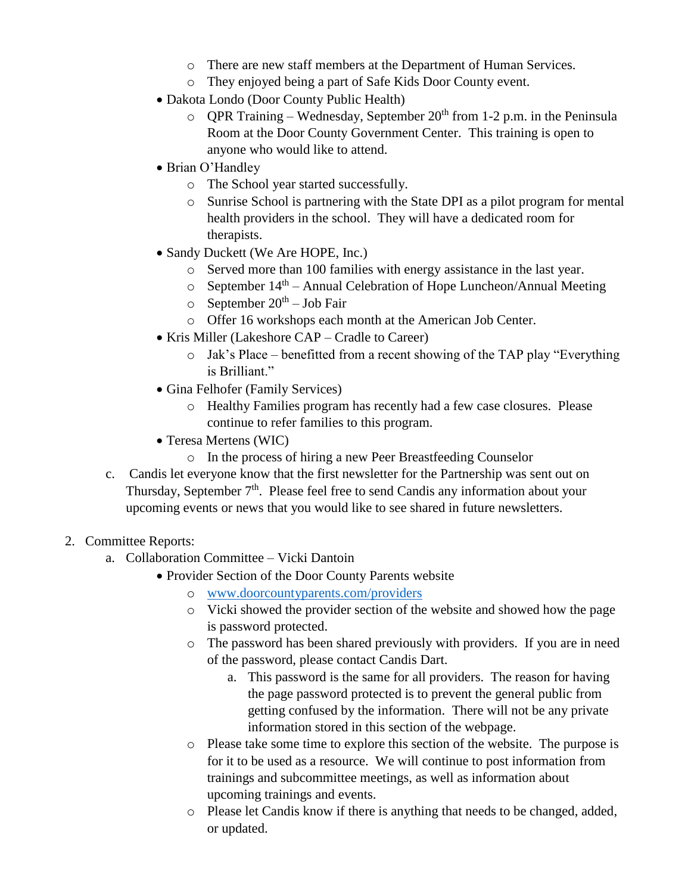- o There are new staff members at the Department of Human Services.
- o They enjoyed being a part of Safe Kids Door County event.
- Dakota Londo (Door County Public Health)
	- o OPR Training Wednesday, September  $20<sup>th</sup>$  from 1-2 p.m. in the Peninsula Room at the Door County Government Center. This training is open to anyone who would like to attend.
- Brian O'Handley
	- o The School year started successfully.
	- o Sunrise School is partnering with the State DPI as a pilot program for mental health providers in the school. They will have a dedicated room for therapists.
- Sandy Duckett (We Are HOPE, Inc.)
	- o Served more than 100 families with energy assistance in the last year.
	- $\circ$  September 14<sup>th</sup> Annual Celebration of Hope Luncheon/Annual Meeting
	- $\circ$  September 20<sup>th</sup> Job Fair
	- o Offer 16 workshops each month at the American Job Center.
- Kris Miller (Lakeshore CAP Cradle to Career)
	- o Jak's Place benefitted from a recent showing of the TAP play "Everything is Brilliant."
- Gina Felhofer (Family Services)
	- o Healthy Families program has recently had a few case closures. Please continue to refer families to this program.
- Teresa Mertens (WIC)
	- o In the process of hiring a new Peer Breastfeeding Counselor
- c. Candis let everyone know that the first newsletter for the Partnership was sent out on Thursday, September 7<sup>th</sup>. Please feel free to send Candis any information about your upcoming events or news that you would like to see shared in future newsletters.

## 2. Committee Reports:

- a. Collaboration Committee Vicki Dantoin
	- Provider Section of the Door County Parents website
		- o [www.doorcountyparents.com/providers](http://www.doorcountyparents.com/providers)
		- o Vicki showed the provider section of the website and showed how the page is password protected.
		- o The password has been shared previously with providers. If you are in need of the password, please contact Candis Dart.
			- a. This password is the same for all providers. The reason for having the page password protected is to prevent the general public from getting confused by the information. There will not be any private information stored in this section of the webpage.
		- o Please take some time to explore this section of the website. The purpose is for it to be used as a resource. We will continue to post information from trainings and subcommittee meetings, as well as information about upcoming trainings and events.
		- o Please let Candis know if there is anything that needs to be changed, added, or updated.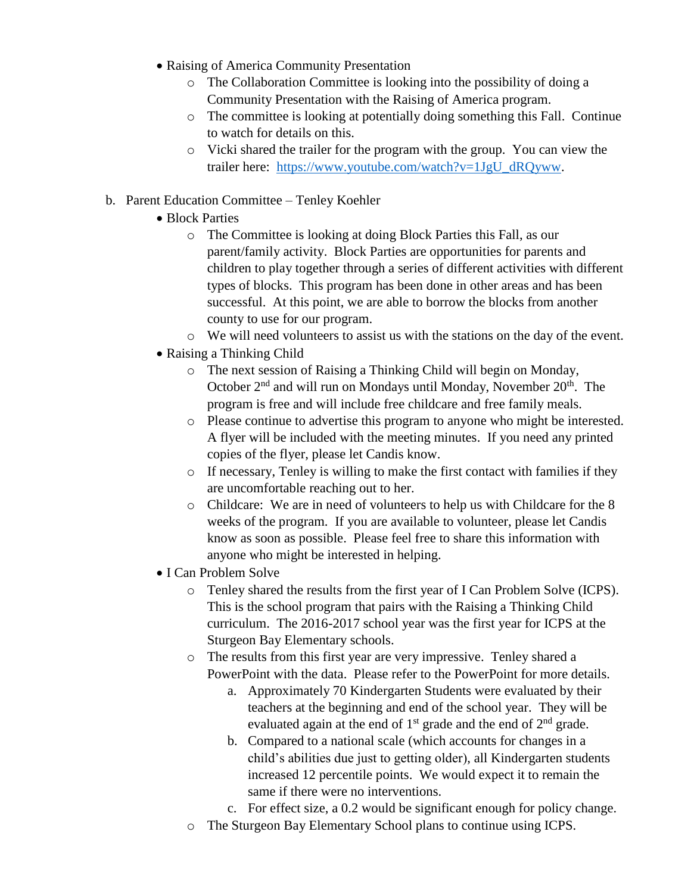- Raising of America Community Presentation
	- o The Collaboration Committee is looking into the possibility of doing a Community Presentation with the Raising of America program.
	- o The committee is looking at potentially doing something this Fall. Continue to watch for details on this.
	- o Vicki shared the trailer for the program with the group. You can view the trailer here: [https://www.youtube.com/watch?v=1JgU\\_dRQyww.](https://www.youtube.com/watch?v=1JgU_dRQyww)

## b. Parent Education Committee – Tenley Koehler

- Block Parties
	- o The Committee is looking at doing Block Parties this Fall, as our parent/family activity. Block Parties are opportunities for parents and children to play together through a series of different activities with different types of blocks. This program has been done in other areas and has been successful. At this point, we are able to borrow the blocks from another county to use for our program.
	- o We will need volunteers to assist us with the stations on the day of the event.
- Raising a Thinking Child
	- o The next session of Raising a Thinking Child will begin on Monday, October  $2<sup>nd</sup>$  and will run on Mondays until Monday, November  $20<sup>th</sup>$ . The program is free and will include free childcare and free family meals.
	- o Please continue to advertise this program to anyone who might be interested. A flyer will be included with the meeting minutes. If you need any printed copies of the flyer, please let Candis know.
	- o If necessary, Tenley is willing to make the first contact with families if they are uncomfortable reaching out to her.
	- o Childcare: We are in need of volunteers to help us with Childcare for the 8 weeks of the program. If you are available to volunteer, please let Candis know as soon as possible. Please feel free to share this information with anyone who might be interested in helping.
- I Can Problem Solve
	- o Tenley shared the results from the first year of I Can Problem Solve (ICPS). This is the school program that pairs with the Raising a Thinking Child curriculum. The 2016-2017 school year was the first year for ICPS at the Sturgeon Bay Elementary schools.
	- o The results from this first year are very impressive. Tenley shared a PowerPoint with the data. Please refer to the PowerPoint for more details.
		- a. Approximately 70 Kindergarten Students were evaluated by their teachers at the beginning and end of the school year. They will be evaluated again at the end of  $1<sup>st</sup>$  grade and the end of  $2<sup>nd</sup>$  grade.
		- b. Compared to a national scale (which accounts for changes in a child's abilities due just to getting older), all Kindergarten students increased 12 percentile points. We would expect it to remain the same if there were no interventions.
		- c. For effect size, a 0.2 would be significant enough for policy change.
	- o The Sturgeon Bay Elementary School plans to continue using ICPS.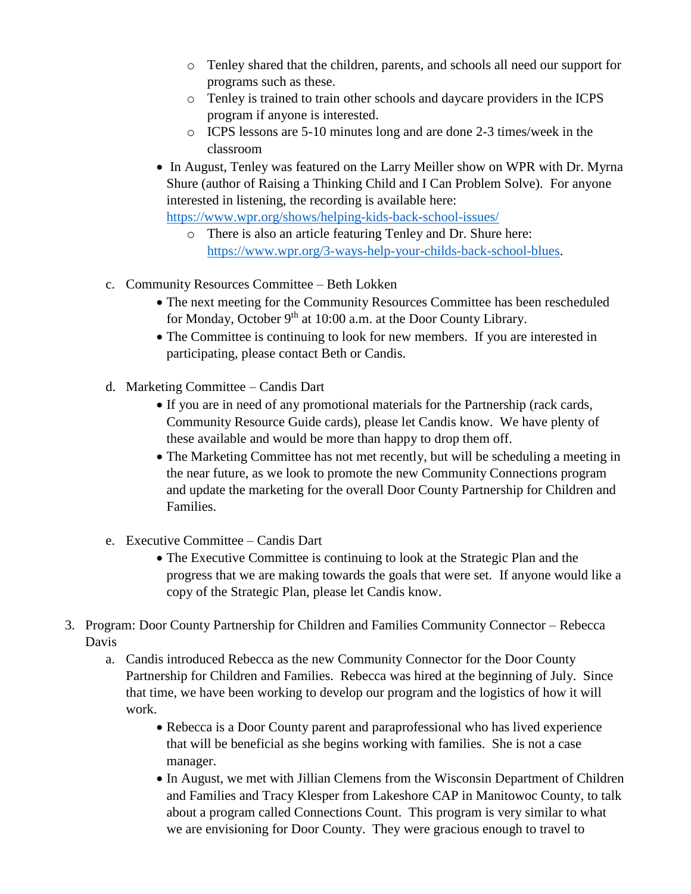- o Tenley shared that the children, parents, and schools all need our support for programs such as these.
- o Tenley is trained to train other schools and daycare providers in the ICPS program if anyone is interested.
- o ICPS lessons are 5-10 minutes long and are done 2-3 times/week in the classroom
- In August, Tenley was featured on the Larry Meiller show on WPR with Dr. Myrna Shure (author of Raising a Thinking Child and I Can Problem Solve). For anyone interested in listening, the recording is available here:

<https://www.wpr.org/shows/helping-kids-back-school-issues/>

- o There is also an article featuring Tenley and Dr. Shure here: [https://www.wpr.org/3-ways-help-your-childs-back-school-blues.](https://www.wpr.org/3-ways-help-your-childs-back-school-blues)
- c. Community Resources Committee Beth Lokken
	- The next meeting for the Community Resources Committee has been rescheduled for Monday, October 9<sup>th</sup> at 10:00 a.m. at the Door County Library.
	- The Committee is continuing to look for new members. If you are interested in participating, please contact Beth or Candis.
- d. Marketing Committee Candis Dart
	- If you are in need of any promotional materials for the Partnership (rack cards, Community Resource Guide cards), please let Candis know. We have plenty of these available and would be more than happy to drop them off.
	- The Marketing Committee has not met recently, but will be scheduling a meeting in the near future, as we look to promote the new Community Connections program and update the marketing for the overall Door County Partnership for Children and Families.
- e. Executive Committee Candis Dart
	- The Executive Committee is continuing to look at the Strategic Plan and the progress that we are making towards the goals that were set. If anyone would like a copy of the Strategic Plan, please let Candis know.
- 3. Program: Door County Partnership for Children and Families Community Connector Rebecca Davis
	- a. Candis introduced Rebecca as the new Community Connector for the Door County Partnership for Children and Families. Rebecca was hired at the beginning of July. Since that time, we have been working to develop our program and the logistics of how it will work.
		- Rebecca is a Door County parent and paraprofessional who has lived experience that will be beneficial as she begins working with families. She is not a case manager.
		- In August, we met with Jillian Clemens from the Wisconsin Department of Children and Families and Tracy Klesper from Lakeshore CAP in Manitowoc County, to talk about a program called Connections Count. This program is very similar to what we are envisioning for Door County. They were gracious enough to travel to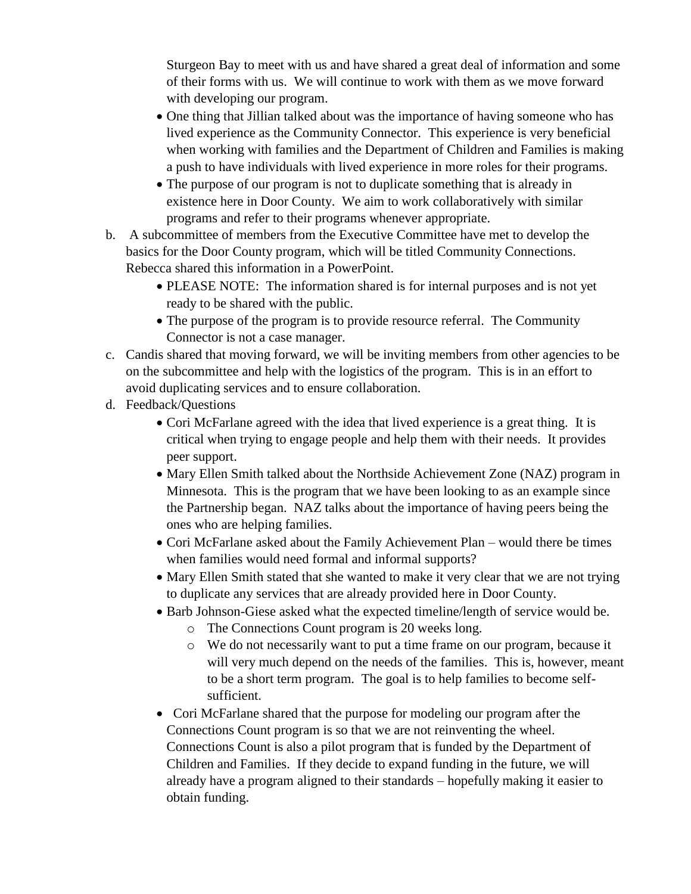Sturgeon Bay to meet with us and have shared a great deal of information and some of their forms with us. We will continue to work with them as we move forward with developing our program.

- One thing that Jillian talked about was the importance of having someone who has lived experience as the Community Connector. This experience is very beneficial when working with families and the Department of Children and Families is making a push to have individuals with lived experience in more roles for their programs.
- The purpose of our program is not to duplicate something that is already in existence here in Door County. We aim to work collaboratively with similar programs and refer to their programs whenever appropriate.
- b. A subcommittee of members from the Executive Committee have met to develop the basics for the Door County program, which will be titled Community Connections. Rebecca shared this information in a PowerPoint.
	- PLEASE NOTE: The information shared is for internal purposes and is not yet ready to be shared with the public.
	- The purpose of the program is to provide resource referral. The Community Connector is not a case manager.
- c. Candis shared that moving forward, we will be inviting members from other agencies to be on the subcommittee and help with the logistics of the program. This is in an effort to avoid duplicating services and to ensure collaboration.
- d. Feedback/Questions
	- Cori McFarlane agreed with the idea that lived experience is a great thing. It is critical when trying to engage people and help them with their needs. It provides peer support.
	- Mary Ellen Smith talked about the Northside Achievement Zone (NAZ) program in Minnesota. This is the program that we have been looking to as an example since the Partnership began. NAZ talks about the importance of having peers being the ones who are helping families.
	- Cori McFarlane asked about the Family Achievement Plan would there be times when families would need formal and informal supports?
	- Mary Ellen Smith stated that she wanted to make it very clear that we are not trying to duplicate any services that are already provided here in Door County.
	- Barb Johnson-Giese asked what the expected timeline/length of service would be.
		- o The Connections Count program is 20 weeks long.
		- o We do not necessarily want to put a time frame on our program, because it will very much depend on the needs of the families. This is, however, meant to be a short term program. The goal is to help families to become selfsufficient.
	- Cori McFarlane shared that the purpose for modeling our program after the Connections Count program is so that we are not reinventing the wheel. Connections Count is also a pilot program that is funded by the Department of Children and Families. If they decide to expand funding in the future, we will already have a program aligned to their standards – hopefully making it easier to obtain funding.